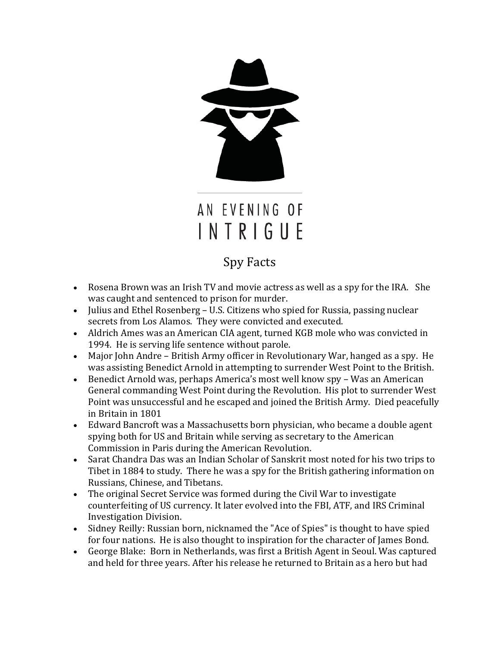

## Spy Facts

- Rosena Brown was an Irish TV and movie actress as well as a spy for the IRA. She was caught and sentenced to prison for murder.
- Julius and Ethel Rosenberg U.S. Citizens who spied for Russia, passing nuclear secrets from Los Alamos. They were convicted and executed.
- Aldrich Ames was an American CIA agent, turned KGB mole who was convicted in 1994. He is serving life sentence without parole.
- Major John Andre British Army officer in Revolutionary War, hanged as a spy. He was assisting Benedict Arnold in attempting to surrender West Point to the British.
- Benedict Arnold was, perhaps America's most well know spy Was an American General commanding West Point during the Revolution. His plot to surrender West Point was unsuccessful and he escaped and joined the British Army. Died peacefully in Britain in 1801
- Edward Bancroft was a Massachusetts born physician, who became a double agent spying both for US and Britain while serving as secretary to the American Commission in Paris during the American Revolution.
- Sarat Chandra Das was an Indian Scholar of Sanskrit most noted for his two trips to Tibet in 1884 to study. There he was a spy for the British gathering information on Russians, Chinese, and Tibetans.
- The original Secret Service was formed during the Civil War to investigate counterfeiting of US currency. It later evolved into the FBI, ATF, and IRS Criminal Investigation Division.
- Sidney Reilly: Russian born, nicknamed the "Ace of Spies" is thought to have spied for four nations. He is also thought to inspiration for the character of James Bond.
- George Blake: Born in Netherlands, was first a British Agent in Seoul. Was captured and held for three years. After his release he returned to Britain as a hero but had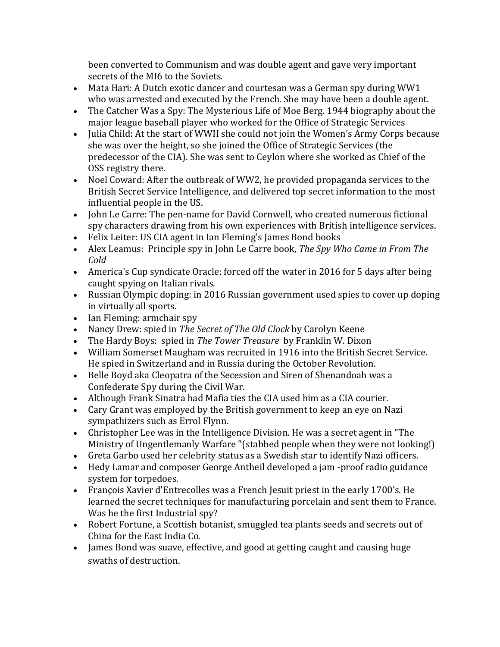been converted to Communism and was double agent and gave very important secrets of the MI6 to the Soviets.

- Mata Hari: A Dutch exotic dancer and courtesan was a German spy during WW1 who was arrested and executed by the French. She may have been a double agent.
- The Catcher Was a Spy: The Mysterious Life of Moe Berg. 1944 biography about the major league baseball player who worked for the Office of Strategic Services
- Julia Child: At the start of WWII she could not join the Women's Army Corps because she was over the height, so she joined the Office of Strategic Services (the predecessor of the CIA). She was sent to Ceylon where she worked as Chief of the OSS registry there.
- Noel Coward: After the outbreak of WW2, he provided propaganda services to the British Secret Service Intelligence, and delivered top secret information to the most influential people in the US.
- John Le Carre: The pen-name for David Cornwell, who created numerous fictional spy characters drawing from his own experiences with British intelligence services.
- Felix Leiter: US CIA agent in Ian Fleming's James Bond books
- Alex Leamus: Principle spy in John Le Carre book, *The Spy Who Came in From The Cold*
- America's Cup syndicate Oracle: forced off the water in 2016 for 5 days after being caught spying on Italian rivals.
- Russian Olympic doping: in 2016 Russian government used spies to cover up doping in virtually all sports.
- Ian Fleming: armchair spy
- Nancy Drew: spied in *The Secret of The Old Clock* by Carolyn Keene
- The Hardy Boys: spied in *The Tower Treasure* by Franklin W. Dixon
- William Somerset Maugham was recruited in 1916 into the British Secret Service. He spied in Switzerland and in Russia during the October Revolution.
- Belle Boyd aka Cleopatra of the Secession and Siren of Shenandoah was a Confederate Spy during the Civil War.
- Although Frank Sinatra had Mafia ties the CIA used him as a CIA courier.
- Cary Grant was employed by the British government to keep an eye on Nazi sympathizers such as Errol Flynn.
- Christopher Lee was in the Intelligence Division. He was a secret agent in "The Ministry of Ungentlemanly Warfare "(stabbed people when they were not looking!)
- Greta Garbo used her celebrity status as a Swedish star to identify Nazi officers.
- Hedy Lamar and composer George Antheil developed a jam -proof radio guidance system for torpedoes.
- François Xavier d'Entrecolles was a French Jesuit priest in the early 1700's. He learned the secret techniques for manufacturing porcelain and sent them to France. Was he the first Industrial spy?
- Robert Fortune, a Scottish botanist, smuggled tea plants seeds and secrets out of China for the East India Co.
- James Bond was suave, effective, and good at getting caught and causing huge swaths of destruction.